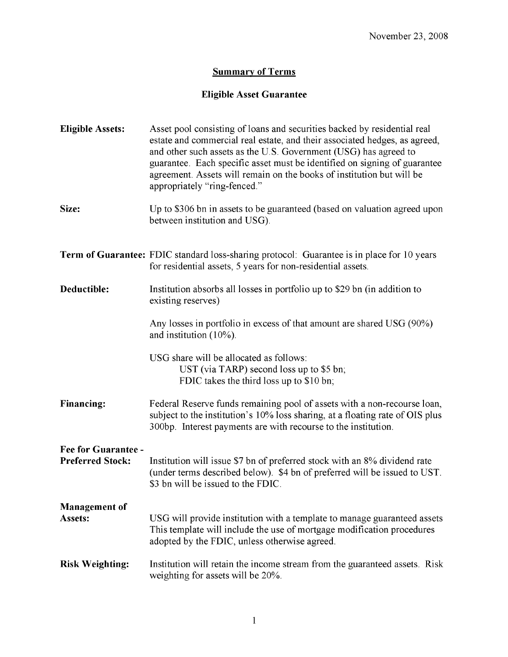## **Summary of Terms**

## **Eligible Asset Guarantee**

| <b>Eligible Assets:</b>                               | Asset pool consisting of loans and securities backed by residential real<br>estate and commercial real estate, and their associated hedges, as agreed,<br>and other such assets as the U.S. Government (USG) has agreed to<br>guarantee. Each specific asset must be identified on signing of guarantee<br>agreement. Assets will remain on the books of institution but will be<br>appropriately "ring-fenced." |
|-------------------------------------------------------|------------------------------------------------------------------------------------------------------------------------------------------------------------------------------------------------------------------------------------------------------------------------------------------------------------------------------------------------------------------------------------------------------------------|
| Size:                                                 | Up to \$306 bn in assets to be guaranteed (based on valuation agreed upon<br>between institution and USG).                                                                                                                                                                                                                                                                                                       |
|                                                       | <b>Term of Guarantee:</b> FDIC standard loss-sharing protocol: Guarantee is in place for 10 years<br>for residential assets, 5 years for non-residential assets.                                                                                                                                                                                                                                                 |
| Deductible:                                           | Institution absorbs all losses in portfolio up to \$29 bn (in addition to<br>existing reserves)                                                                                                                                                                                                                                                                                                                  |
|                                                       | Any losses in portfolio in excess of that amount are shared USG (90%)<br>and institution $(10\%)$ .                                                                                                                                                                                                                                                                                                              |
|                                                       | USG share will be allocated as follows:<br>UST (via TARP) second loss up to $$5 \text{ bn}$ ;<br>FDIC takes the third loss up to \$10 bn;                                                                                                                                                                                                                                                                        |
| <b>Financing:</b>                                     | Federal Reserve funds remaining pool of assets with a non-recourse loan,<br>subject to the institution's 10% loss sharing, at a floating rate of OIS plus<br>300bp. Interest payments are with recourse to the institution.                                                                                                                                                                                      |
| <b>Fee for Guarantee -</b><br><b>Preferred Stock:</b> | Institution will issue \$7 bn of preferred stock with an 8% dividend rate<br>(under terms described below). \$4 bn of preferred will be issued to UST.<br>\$3 bn will be issued to the FDIC.                                                                                                                                                                                                                     |
| <b>Management of</b><br>Assets:                       | USG will provide institution with a template to manage guaranteed assets<br>This template will include the use of mortgage modification procedures<br>adopted by the FDIC, unless otherwise agreed.                                                                                                                                                                                                              |
| <b>Risk Weighting:</b>                                | Institution will retain the income stream from the guaranteed assets. Risk<br>weighting for assets will be 20%.                                                                                                                                                                                                                                                                                                  |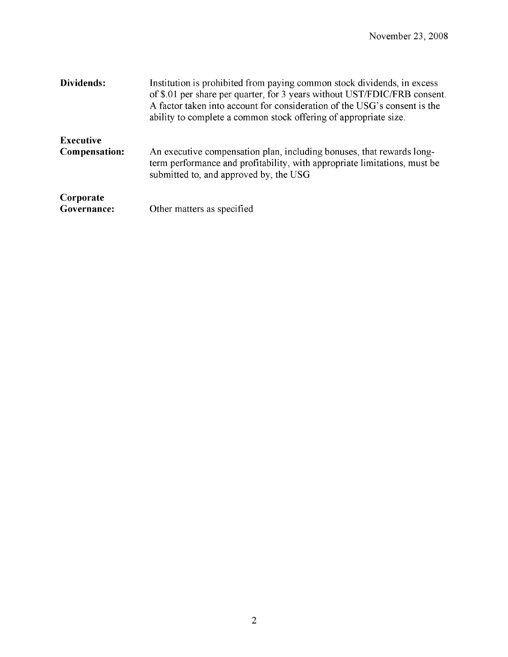| Dividends:                               | Institution is prohibited from paying common stock dividends, in excess<br>of \$.01 per share per quarter, for 3 years without UST/FDIC/FRB consent.<br>A factor taken into account for consideration of the USG's consent is the<br>ability to complete a common stock offering of appropriate size. |
|------------------------------------------|-------------------------------------------------------------------------------------------------------------------------------------------------------------------------------------------------------------------------------------------------------------------------------------------------------|
| <b>Executive</b><br><b>Compensation:</b> | An executive compensation plan, including bonuses, that rewards long-<br>term performance and profitability, with appropriate limitations, must be<br>submitted to, and approved by, the USG                                                                                                          |
| Corporate<br>Governance:                 | Other matters as specified                                                                                                                                                                                                                                                                            |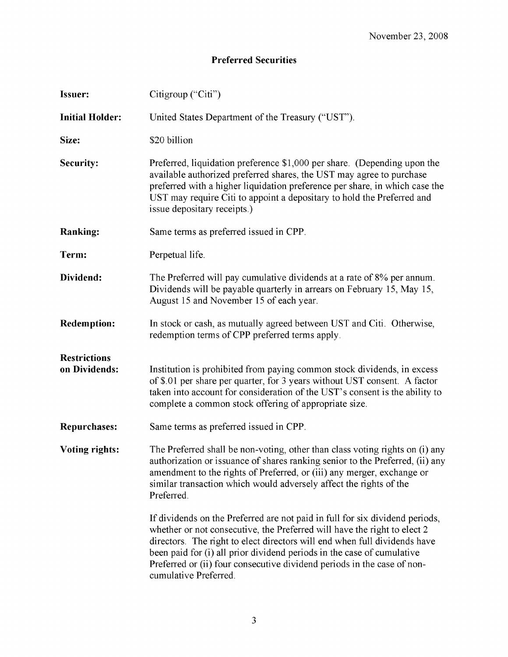## **Preferred Securities**

| <b>Issuer:</b>                       | Citigroup ("Citi")                                                                                                                                                                                                                                                                                                                                                                                                  |
|--------------------------------------|---------------------------------------------------------------------------------------------------------------------------------------------------------------------------------------------------------------------------------------------------------------------------------------------------------------------------------------------------------------------------------------------------------------------|
| <b>Initial Holder:</b>               | United States Department of the Treasury ("UST").                                                                                                                                                                                                                                                                                                                                                                   |
| Size:                                | \$20 billion                                                                                                                                                                                                                                                                                                                                                                                                        |
| Security:                            | Preferred, liquidation preference \$1,000 per share. (Depending upon the<br>available authorized preferred shares, the UST may agree to purchase<br>preferred with a higher liquidation preference per share, in which case the<br>UST may require Citi to appoint a depositary to hold the Preferred and<br>issue depositary receipts.)                                                                            |
| <b>Ranking:</b>                      | Same terms as preferred issued in CPP.                                                                                                                                                                                                                                                                                                                                                                              |
| Term:                                | Perpetual life.                                                                                                                                                                                                                                                                                                                                                                                                     |
| Dividend:                            | The Preferred will pay cumulative dividends at a rate of 8% per annum.<br>Dividends will be payable quarterly in arrears on February 15, May 15,<br>August 15 and November 15 of each year.                                                                                                                                                                                                                         |
| <b>Redemption:</b>                   | In stock or cash, as mutually agreed between UST and Citi. Otherwise,<br>redemption terms of CPP preferred terms apply.                                                                                                                                                                                                                                                                                             |
| <b>Restrictions</b><br>on Dividends: | Institution is prohibited from paying common stock dividends, in excess<br>of \$.01 per share per quarter, for 3 years without UST consent. A factor<br>taken into account for consideration of the UST's consent is the ability to<br>complete a common stock offering of appropriate size.                                                                                                                        |
| <b>Repurchases:</b>                  | Same terms as preferred issued in CPP.                                                                                                                                                                                                                                                                                                                                                                              |
| <b>Voting rights:</b>                | The Preferred shall be non-voting, other than class voting rights on (i) any<br>authorization or issuance of shares ranking senior to the Preferred, (ii) any<br>amendment to the rights of Preferred, or (iii) any merger, exchange or<br>similar transaction which would adversely affect the rights of the<br>Preferred.                                                                                         |
|                                      | If dividends on the Preferred are not paid in full for six dividend periods,<br>whether or not consecutive, the Preferred will have the right to elect 2<br>directors. The right to elect directors will end when full dividends have<br>been paid for (i) all prior dividend periods in the case of cumulative<br>Preferred or (ii) four consecutive dividend periods in the case of non-<br>cumulative Preferred. |